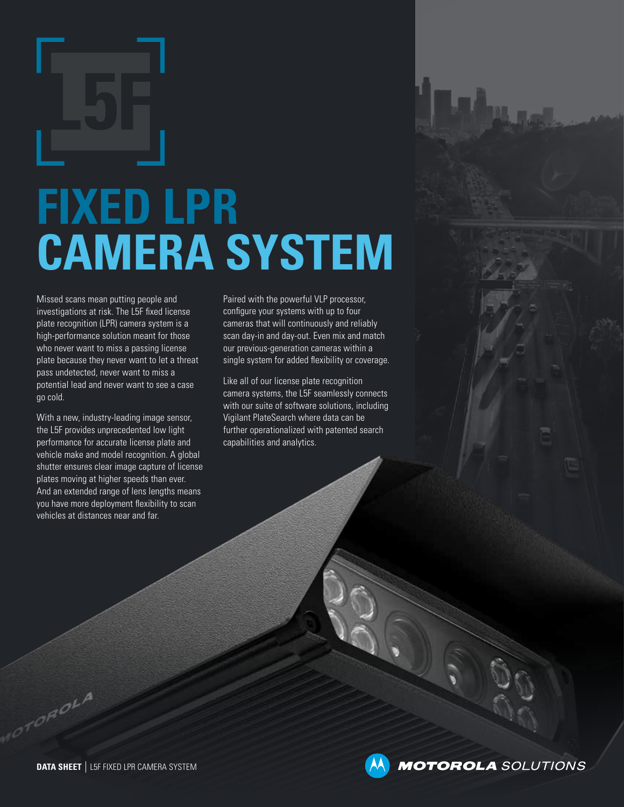# **FIXED LPR CAMERA SYSTEM**

Missed scans mean putting people and investigations at risk. The L5F fixed license plate recognition (LPR) camera system is a high-performance solution meant for those who never want to miss a passing license plate because they never want to let a threat pass undetected, never want to miss a potential lead and never want to see a case go cold.

With a new, industry-leading image sensor, the L5F provides unprecedented low light performance for accurate license plate and vehicle make and model recognition. A global shutter ensures clear image capture of license plates moving at higher speeds than ever. And an extended range of lens lengths means you have more deployment flexibility to scan vehicles at distances near and far.

Paired with the powerful VLP processor, configure your systems with up to four cameras that will continuously and reliably scan day-in and day-out. Even mix and match our previous-generation cameras within a single system for added flexibility or coverage.

Like all of our license plate recognition camera systems, the L5F seamlessly connects with our suite of software solutions, including Vigilant PlateSearch where data can be further operationalized with patented search capabilities and analytics.

**MOTOROLA** SOLUTIONS

**OROLA**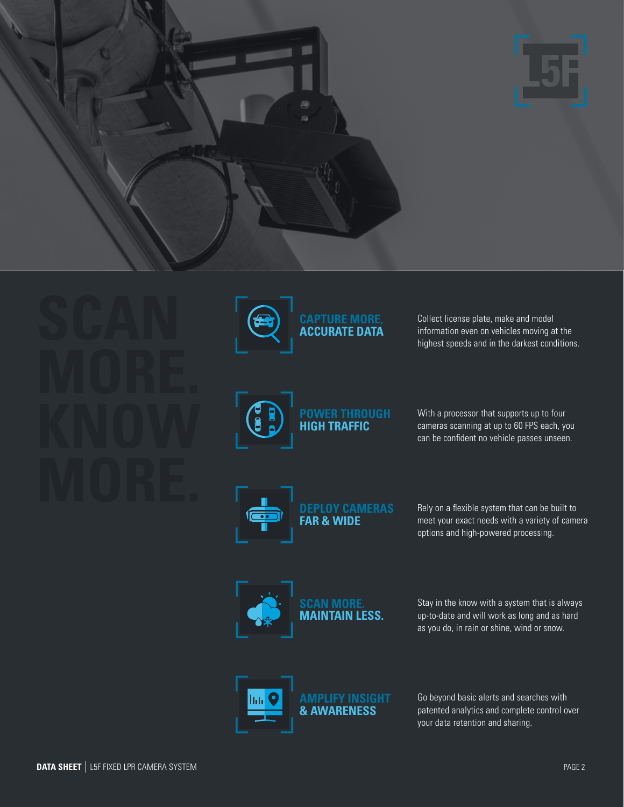



Collect license plate, make and model information even on vehicles moving at the highest speeds and in the darkest conditions.



With a processor that supports up to four cameras scanning at up to 60 FPS each, you can be confident no vehicle passes unseen.



Rely on a flexible system that can be built to meet your exact needs with a variety of camera options and high-powered processing.



Stay in the know with a system that is always up-to-date and will work as long and as hard as you do, in rain or shine, wind or snow.



Go beyond basic alerts and searches with patented analytics and complete control over your data retention and sharing.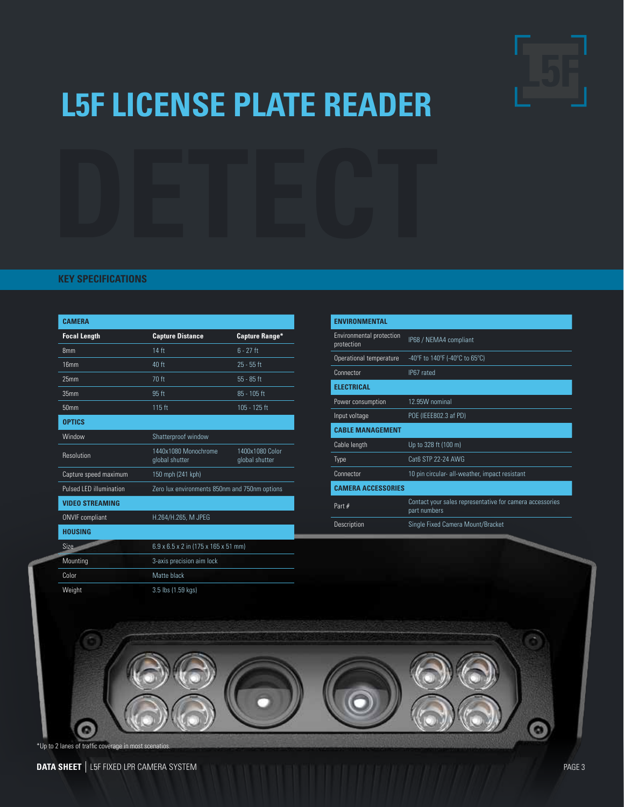

### **L5F LICENSE PLATE READER**



#### **KEY SPECIFICATIONS**

| <b>CAMFRA</b>                  |                                               |                                   |
|--------------------------------|-----------------------------------------------|-----------------------------------|
| <b>Focal Length</b>            | <b>Capture Distance</b>                       | <b>Capture Range*</b>             |
| 8mm                            | 14 ft                                         | $6 - 27$ ft                       |
| 16 <sub>mm</sub>               | 40 ft                                         | $25 - 55$ ft                      |
| 25 <sub>mm</sub>               | 70 ft                                         | $55 - 85$ ft                      |
| 35 <sub>mm</sub>               | 95 ft                                         | 85 - 105 ft                       |
| 50 <sub>mm</sub>               | 115 ft                                        | 105 - 125 ft                      |
| <b>OPTICS</b>                  |                                               |                                   |
| Window                         | Shatterproof window                           |                                   |
| Resolution                     | 1440x1080 Monochrome<br>global shutter        | 1400x1080 Color<br>global shutter |
| Capture speed maximum          | 150 mph (241 kph)                             |                                   |
| <b>Pulsed LED illumination</b> | Zero lux environments 850nm and 750nm options |                                   |
| <b>VIDEO STREAMING</b>         |                                               |                                   |
| <b>ONVIF</b> compliant         | H.264/H.265, M JPEG                           |                                   |
| <b>HOUSING</b>                 |                                               |                                   |
| Size.                          | 6.9 x 6.5 x 2 in (175 x 165 x 51 mm)          |                                   |
| Mounting                       | 3-axis precision aim lock                     |                                   |
| Color                          | Matte black                                   |                                   |
| Weight                         | 3.5 lbs (1.59 kgs)                            |                                   |

| <b><i>ENVIRONMENTAL</i></b>            |                                                                          |  |
|----------------------------------------|--------------------------------------------------------------------------|--|
| Environmental protection<br>protection | IP68 / NEMA4 compliant                                                   |  |
| Operational temperature                | -40°F to 140°F (-40°C to 65°C)                                           |  |
| Connector                              | IP67 rated                                                               |  |
| <b>FLECTRICAL</b>                      |                                                                          |  |
| Power consumption                      | 12.95W nominal                                                           |  |
| Input voltage                          | POE (IEEE802.3 af PD)                                                    |  |
| <b>CABLE MANAGEMENT</b>                |                                                                          |  |
| Cable length                           | Up to 328 ft (100 m)                                                     |  |
| Type                                   | Cat6 STP 22-24 AWG                                                       |  |
| Connector                              | 10 pin circular- all-weather, impact resistant                           |  |
| <b>CAMERA ACCESSORIES</b>              |                                                                          |  |
| Part #                                 | Contact your sales representative for camera accessories<br>part numbers |  |
| Description                            | Single Fixed Camera Mount/Bracket                                        |  |

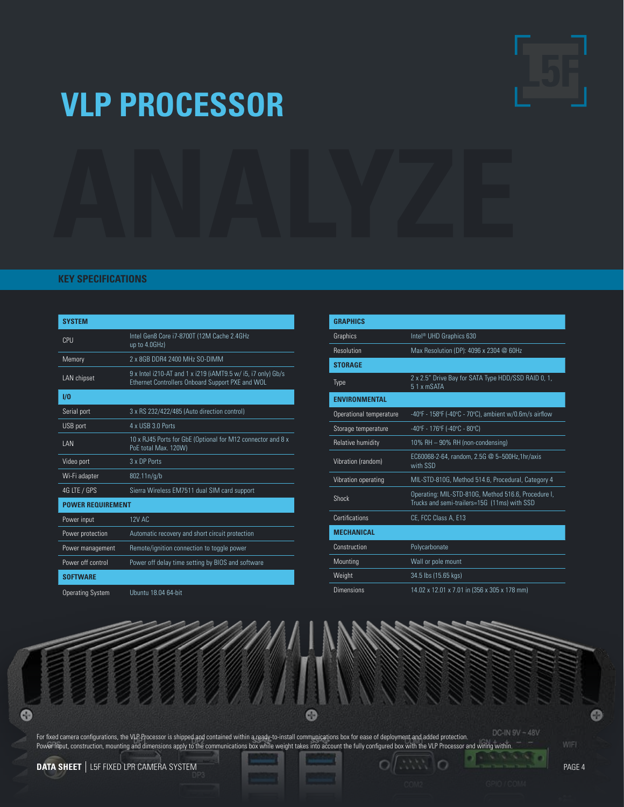

### **VLP PROCESSOR**

#### **KEY SPECIFICATIONS**

| <b>SYSTEM</b>            |                                                                                                                  |  |
|--------------------------|------------------------------------------------------------------------------------------------------------------|--|
| CPU                      | Intel Gen8 Core i7-8700T (12M Cache 2.4GHz<br>up to 4.0GHz)                                                      |  |
| Memory                   | 2 x 8GB DDR4 2400 MHz SO-DIMM                                                                                    |  |
| <b>LAN</b> chipset       | 9 x Intel i210-AT and 1 x i219 (iAMT9.5 w/ i5, i7 only) Gb/s<br>Ethernet Controllers Onboard Support PXE and WOL |  |
| $1/0$                    |                                                                                                                  |  |
| Serial port              | 3 x RS 232/422/485 (Auto direction control)                                                                      |  |
| USB port                 | 4 x USB 3 0 Ports                                                                                                |  |
| <b>IAN</b>               | 10 x RJ45 Ports for GbE (Optional for M12 connector and 8 x<br>PoE total Max. 120W)                              |  |
| Video port               | 3 x DP Ports                                                                                                     |  |
| Wi-Fi adapter            | 802.11n/g/b                                                                                                      |  |
| 4G LTE / GPS             | Sierra Wireless EM7511 dual SIM card support                                                                     |  |
| <b>POWER REQUIREMENT</b> |                                                                                                                  |  |
| Power input              | 12V AC                                                                                                           |  |
| Power protection         | Automatic recovery and short circuit protection                                                                  |  |
| Power management         | Remote/ignition connection to toggle power                                                                       |  |
| Power off control        | Power off delay time setting by BIOS and software                                                                |  |
| <b>SOFTWARE</b>          |                                                                                                                  |  |

| <b>GRAPHICS</b>             |                                                                                                     |  |
|-----------------------------|-----------------------------------------------------------------------------------------------------|--|
| Graphics                    | Intel <sup>®</sup> UHD Graphics 630                                                                 |  |
| Resolution                  | Max Resolution (DP): 4096 x 2304 @ 60Hz                                                             |  |
| <b>STORAGE</b>              |                                                                                                     |  |
| Type                        | 2 x 2.5" Drive Bay for SATA Type HDD/SSD RAID 0, 1,<br>51 x mSATA                                   |  |
| <b><i>ENVIRONMENTAL</i></b> |                                                                                                     |  |
| Operational temperature     | -40°F - 158°F (-40°C - 70°C), ambient w/0.6m/s airflow                                              |  |
| Storage temperature         | -40°F - 176°F (-40°C - 80°C)                                                                        |  |
| Relative humidity           | 10% RH - 90% RH (non-condensing)                                                                    |  |
| Vibration (random)          | EC60068-2-64, random, 2.5G @ 5~500Hz,1hr/axis<br>with SSD                                           |  |
| Vibration operating         | MIL-STD-810G, Method 514.6, Procedural, Category 4                                                  |  |
| <b>Shock</b>                | Operating: MIL-STD-810G, Method 516.6, Procedure I,<br>Trucks and semi-trailers=15G (11ms) with SSD |  |
| Certifications              | CE, FCC Class A, E13                                                                                |  |
| <b>MECHANICAL</b>           |                                                                                                     |  |
| Construction                | Polycarbonate                                                                                       |  |
| Mounting                    | Wall or pole mount                                                                                  |  |
| Weight                      | 34.5 lbs (15.65 kgs)                                                                                |  |
| Dimensions                  | 14.02 x 12.01 x 7.01 in (356 x 305 x 178 mm)                                                        |  |

Operating System Ubuntu 18.04 64-bit

ര

DC-IN 9V - 48V For fixed camera configurations, the VLP Processor is shipped and contained within a ready-to-install communications box for ease of deployment and added protection. Power input, construction, mounting and dimensions apply to the communications box while weight takes into account the fully configured box with the VLP Processor and wiring within.

 $\bullet$ 

 $\Box$   $\rightarrow$   $\rightarrow$ 

**DATA SHEET** | L5F FIXED LPR CAMERA SYSTEM **PAGE 4**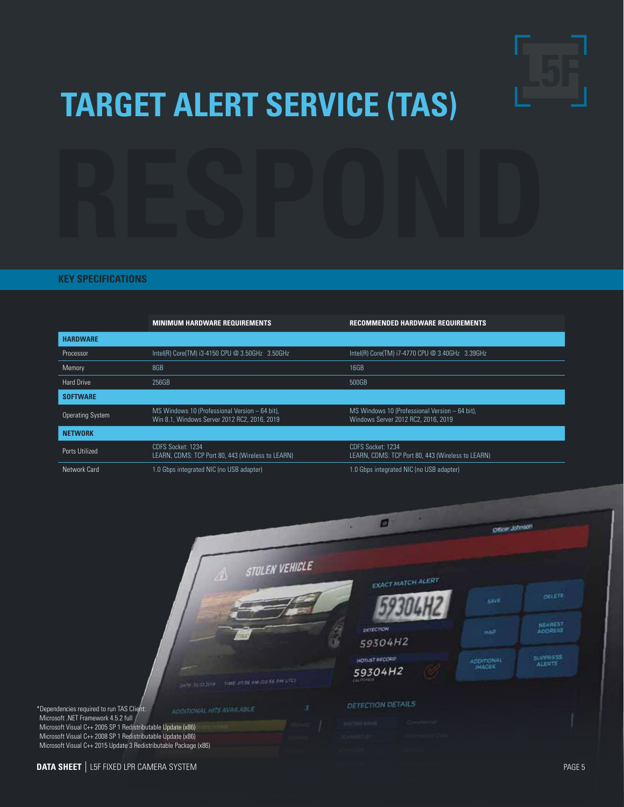

## **TARGET ALERT SERVICE (TAS)**

#### **KEY SPECIFICATIONS**

|                         | <b>MINIMUM HARDWARE REQUIREMENTS</b>                                                           | RECOMMENDED HARDWARE REQUIREMENTS                                                     |
|-------------------------|------------------------------------------------------------------------------------------------|---------------------------------------------------------------------------------------|
| <b>HARDWARE</b>         |                                                                                                |                                                                                       |
| Processor               | Intel(R) Core(TM) i3-4150 CPU @ 3.50GHz 3.50GHz                                                | Intel(R) Core(TM) i7-4770 CPU @ 3.40GHz 3.39GHz                                       |
| Memory                  | 8GB                                                                                            | 16GB                                                                                  |
| <b>Hard Drive</b>       | 256GB                                                                                          | 500GB                                                                                 |
| <b>SOFTWARE</b>         |                                                                                                |                                                                                       |
| <b>Operating System</b> | MS Windows 10 (Professional Version - 64 bit),<br>Win 8.1. Windows Server 2012 RC2, 2016, 2019 | MS Windows 10 (Professional Version - 64 bit),<br>Windows Server 2012 RC2, 2016, 2019 |
| <b>NETWORK</b>          |                                                                                                |                                                                                       |
| Ports Utilized          | CDFS Socket: 1234<br>LEARN, CDMS: TCP Port 80, 443 (Wireless to LEARN)                         | CDFS Socket: 1234<br>LEARN, CDMS: TCP Port 80, 443 (Wireless to LEARN)                |
| Network Card            | 1.0 Gbps integrated NIC (no USB adapter)                                                       | 1.0 Gbps integrated NIC (no USB adapter)                                              |